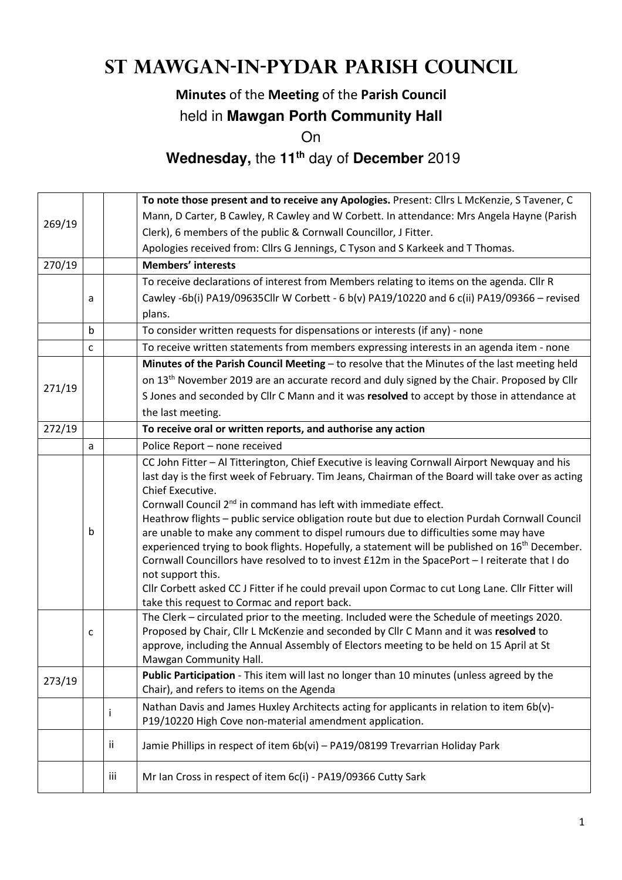# **St Mawgan-in-Pydar Parish Council**

## **Minutes** of the **Meeting** of the **Parish Council**

#### held in **Mawgan Porth Community Hall**

On

## **Wednesday,** the **11th** day of **December** 2019

|        |                                                                                              |                                                              | To note those present and to receive any Apologies. Present: Cllrs L McKenzie, S Tavener, C                                                                                          |  |  |  |  |
|--------|----------------------------------------------------------------------------------------------|--------------------------------------------------------------|--------------------------------------------------------------------------------------------------------------------------------------------------------------------------------------|--|--|--|--|
| 269/19 |                                                                                              |                                                              | Mann, D Carter, B Cawley, R Cawley and W Corbett. In attendance: Mrs Angela Hayne (Parish                                                                                            |  |  |  |  |
|        |                                                                                              |                                                              | Clerk), 6 members of the public & Cornwall Councillor, J Fitter.                                                                                                                     |  |  |  |  |
|        |                                                                                              |                                                              | Apologies received from: Cllrs G Jennings, C Tyson and S Karkeek and T Thomas.                                                                                                       |  |  |  |  |
| 270/19 |                                                                                              |                                                              | <b>Members' interests</b>                                                                                                                                                            |  |  |  |  |
|        |                                                                                              |                                                              | To receive declarations of interest from Members relating to items on the agenda. Cllr R                                                                                             |  |  |  |  |
|        | a                                                                                            |                                                              | Cawley -6b(i) PA19/09635Cllr W Corbett - 6 b(v) PA19/10220 and 6 c(ii) PA19/09366 - revised                                                                                          |  |  |  |  |
|        |                                                                                              |                                                              | plans.                                                                                                                                                                               |  |  |  |  |
|        | b                                                                                            |                                                              | To consider written requests for dispensations or interests (if any) - none                                                                                                          |  |  |  |  |
|        | c                                                                                            |                                                              | To receive written statements from members expressing interests in an agenda item - none                                                                                             |  |  |  |  |
|        | Minutes of the Parish Council Meeting - to resolve that the Minutes of the last meeting held |                                                              |                                                                                                                                                                                      |  |  |  |  |
|        |                                                                                              |                                                              | on 13 <sup>th</sup> November 2019 are an accurate record and duly signed by the Chair. Proposed by Cllr                                                                              |  |  |  |  |
| 271/19 |                                                                                              |                                                              | S Jones and seconded by Cllr C Mann and it was resolved to accept by those in attendance at                                                                                          |  |  |  |  |
|        |                                                                                              |                                                              | the last meeting.                                                                                                                                                                    |  |  |  |  |
| 272/19 |                                                                                              | To receive oral or written reports, and authorise any action |                                                                                                                                                                                      |  |  |  |  |
|        | a                                                                                            |                                                              | Police Report - none received                                                                                                                                                        |  |  |  |  |
|        |                                                                                              |                                                              | CC John Fitter - Al Titterington, Chief Executive is leaving Cornwall Airport Newquay and his                                                                                        |  |  |  |  |
|        |                                                                                              |                                                              | last day is the first week of February. Tim Jeans, Chairman of the Board will take over as acting                                                                                    |  |  |  |  |
|        |                                                                                              |                                                              | Chief Executive.                                                                                                                                                                     |  |  |  |  |
|        |                                                                                              |                                                              | Cornwall Council 2 <sup>nd</sup> in command has left with immediate effect.                                                                                                          |  |  |  |  |
|        | b                                                                                            |                                                              | Heathrow flights - public service obligation route but due to election Purdah Cornwall Council<br>are unable to make any comment to dispel rumours due to difficulties some may have |  |  |  |  |
|        |                                                                                              |                                                              | experienced trying to book flights. Hopefully, a statement will be published on 16 <sup>th</sup> December.                                                                           |  |  |  |  |
|        |                                                                                              |                                                              | Cornwall Councillors have resolved to to invest £12m in the SpacePort - I reiterate that I do                                                                                        |  |  |  |  |
|        |                                                                                              |                                                              | not support this.                                                                                                                                                                    |  |  |  |  |
|        |                                                                                              |                                                              | Cllr Corbett asked CC J Fitter if he could prevail upon Cormac to cut Long Lane. Cllr Fitter will                                                                                    |  |  |  |  |
|        |                                                                                              |                                                              | take this request to Cormac and report back.                                                                                                                                         |  |  |  |  |
|        |                                                                                              |                                                              | The Clerk - circulated prior to the meeting. Included were the Schedule of meetings 2020.                                                                                            |  |  |  |  |
|        | C                                                                                            |                                                              | Proposed by Chair, Cllr L McKenzie and seconded by Cllr C Mann and it was resolved to                                                                                                |  |  |  |  |
|        |                                                                                              |                                                              | approve, including the Annual Assembly of Electors meeting to be held on 15 April at St<br>Mawgan Community Hall.                                                                    |  |  |  |  |
|        |                                                                                              |                                                              | Public Participation - This item will last no longer than 10 minutes (unless agreed by the                                                                                           |  |  |  |  |
| 273/19 |                                                                                              |                                                              | Chair), and refers to items on the Agenda                                                                                                                                            |  |  |  |  |
|        |                                                                                              |                                                              | Nathan Davis and James Huxley Architects acting for applicants in relation to item 6b(v)-                                                                                            |  |  |  |  |
|        |                                                                                              | Ť                                                            | P19/10220 High Cove non-material amendment application.                                                                                                                              |  |  |  |  |
|        |                                                                                              |                                                              |                                                                                                                                                                                      |  |  |  |  |
|        |                                                                                              | ij.                                                          | Jamie Phillips in respect of item 6b(vi) - PA19/08199 Trevarrian Holiday Park                                                                                                        |  |  |  |  |
|        |                                                                                              | iii                                                          | Mr Ian Cross in respect of item 6c(i) - PA19/09366 Cutty Sark                                                                                                                        |  |  |  |  |
|        |                                                                                              |                                                              |                                                                                                                                                                                      |  |  |  |  |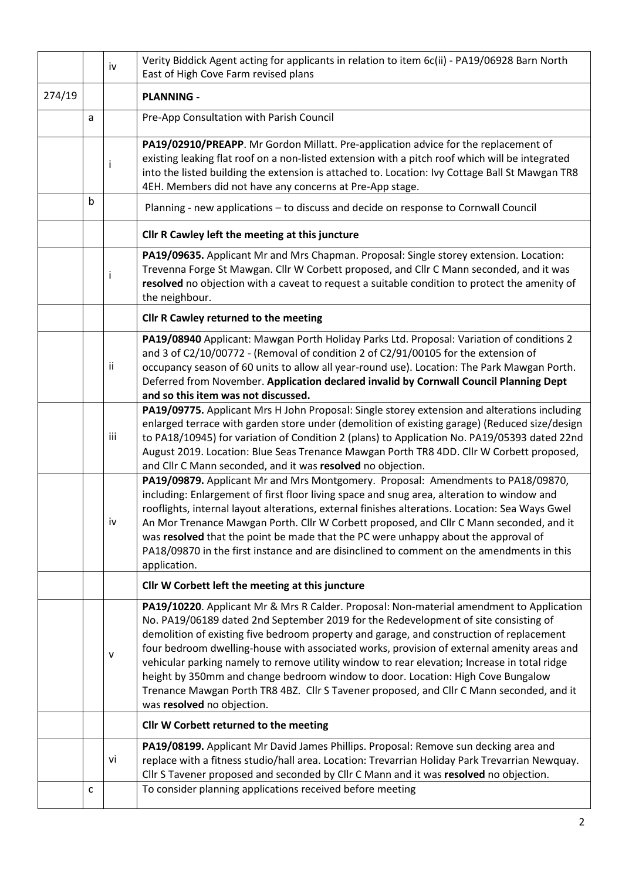|                                                                | Verity Biddick Agent acting for applicants in relation to item 6c(ii) - PA19/06928 Barn North<br>iv<br>East of High Cove Farm revised plans |              |                                                                                                                                                                                                                                                                                                                                                                                                                                                                                                                                                                                                                                                                                        |
|----------------------------------------------------------------|---------------------------------------------------------------------------------------------------------------------------------------------|--------------|----------------------------------------------------------------------------------------------------------------------------------------------------------------------------------------------------------------------------------------------------------------------------------------------------------------------------------------------------------------------------------------------------------------------------------------------------------------------------------------------------------------------------------------------------------------------------------------------------------------------------------------------------------------------------------------|
| 274/19                                                         |                                                                                                                                             |              | <b>PLANNING -</b>                                                                                                                                                                                                                                                                                                                                                                                                                                                                                                                                                                                                                                                                      |
|                                                                | a                                                                                                                                           |              | Pre-App Consultation with Parish Council                                                                                                                                                                                                                                                                                                                                                                                                                                                                                                                                                                                                                                               |
|                                                                |                                                                                                                                             | $\mathbf{I}$ | PA19/02910/PREAPP. Mr Gordon Millatt. Pre-application advice for the replacement of<br>existing leaking flat roof on a non-listed extension with a pitch roof which will be integrated<br>into the listed building the extension is attached to. Location: Ivy Cottage Ball St Mawgan TR8<br>4EH. Members did not have any concerns at Pre-App stage.                                                                                                                                                                                                                                                                                                                                  |
|                                                                | b                                                                                                                                           |              | Planning - new applications - to discuss and decide on response to Cornwall Council                                                                                                                                                                                                                                                                                                                                                                                                                                                                                                                                                                                                    |
|                                                                |                                                                                                                                             |              | Cllr R Cawley left the meeting at this juncture                                                                                                                                                                                                                                                                                                                                                                                                                                                                                                                                                                                                                                        |
|                                                                |                                                                                                                                             | Ť            | PA19/09635. Applicant Mr and Mrs Chapman. Proposal: Single storey extension. Location:<br>Trevenna Forge St Mawgan. Cllr W Corbett proposed, and Cllr C Mann seconded, and it was<br>resolved no objection with a caveat to request a suitable condition to protect the amenity of<br>the neighbour.                                                                                                                                                                                                                                                                                                                                                                                   |
|                                                                |                                                                                                                                             |              | Cllr R Cawley returned to the meeting                                                                                                                                                                                                                                                                                                                                                                                                                                                                                                                                                                                                                                                  |
|                                                                |                                                                                                                                             | ii           | PA19/08940 Applicant: Mawgan Porth Holiday Parks Ltd. Proposal: Variation of conditions 2<br>and 3 of C2/10/00772 - (Removal of condition 2 of C2/91/00105 for the extension of<br>occupancy season of 60 units to allow all year-round use). Location: The Park Mawgan Porth.<br>Deferred from November. Application declared invalid by Cornwall Council Planning Dept<br>and so this item was not discussed.                                                                                                                                                                                                                                                                        |
|                                                                |                                                                                                                                             | iii          | PA19/09775. Applicant Mrs H John Proposal: Single storey extension and alterations including<br>enlarged terrace with garden store under (demolition of existing garage) (Reduced size/design<br>to PA18/10945) for variation of Condition 2 (plans) to Application No. PA19/05393 dated 22nd<br>August 2019. Location: Blue Seas Trenance Mawgan Porth TR8 4DD. Cllr W Corbett proposed,<br>and Cllr C Mann seconded, and it was resolved no objection.                                                                                                                                                                                                                               |
|                                                                |                                                                                                                                             | iv           | PA19/09879. Applicant Mr and Mrs Montgomery. Proposal: Amendments to PA18/09870,<br>including: Enlargement of first floor living space and snug area, alteration to window and<br>rooflights, internal layout alterations, external finishes alterations. Location: Sea Ways Gwel<br>An Mor Trenance Mawgan Porth. Cllr W Corbett proposed, and Cllr C Mann seconded, and it<br>was resolved that the point be made that the PC were unhappy about the approval of<br>PA18/09870 in the first instance and are disinclined to comment on the amendments in this<br>application.                                                                                                        |
|                                                                |                                                                                                                                             |              | Cllr W Corbett left the meeting at this juncture                                                                                                                                                                                                                                                                                                                                                                                                                                                                                                                                                                                                                                       |
|                                                                |                                                                                                                                             | v            | PA19/10220. Applicant Mr & Mrs R Calder. Proposal: Non-material amendment to Application<br>No. PA19/06189 dated 2nd September 2019 for the Redevelopment of site consisting of<br>demolition of existing five bedroom property and garage, and construction of replacement<br>four bedroom dwelling-house with associated works, provision of external amenity areas and<br>vehicular parking namely to remove utility window to rear elevation; Increase in total ridge<br>height by 350mm and change bedroom window to door. Location: High Cove Bungalow<br>Trenance Mawgan Porth TR8 4BZ. Cllr S Tavener proposed, and Cllr C Mann seconded, and it<br>was resolved no objection. |
|                                                                |                                                                                                                                             |              | Cllr W Corbett returned to the meeting                                                                                                                                                                                                                                                                                                                                                                                                                                                                                                                                                                                                                                                 |
|                                                                |                                                                                                                                             | vi           | PA19/08199. Applicant Mr David James Phillips. Proposal: Remove sun decking area and<br>replace with a fitness studio/hall area. Location: Trevarrian Holiday Park Trevarrian Newquay.<br>Cllr S Tavener proposed and seconded by Cllr C Mann and it was resolved no objection.                                                                                                                                                                                                                                                                                                                                                                                                        |
| To consider planning applications received before meeting<br>c |                                                                                                                                             |              |                                                                                                                                                                                                                                                                                                                                                                                                                                                                                                                                                                                                                                                                                        |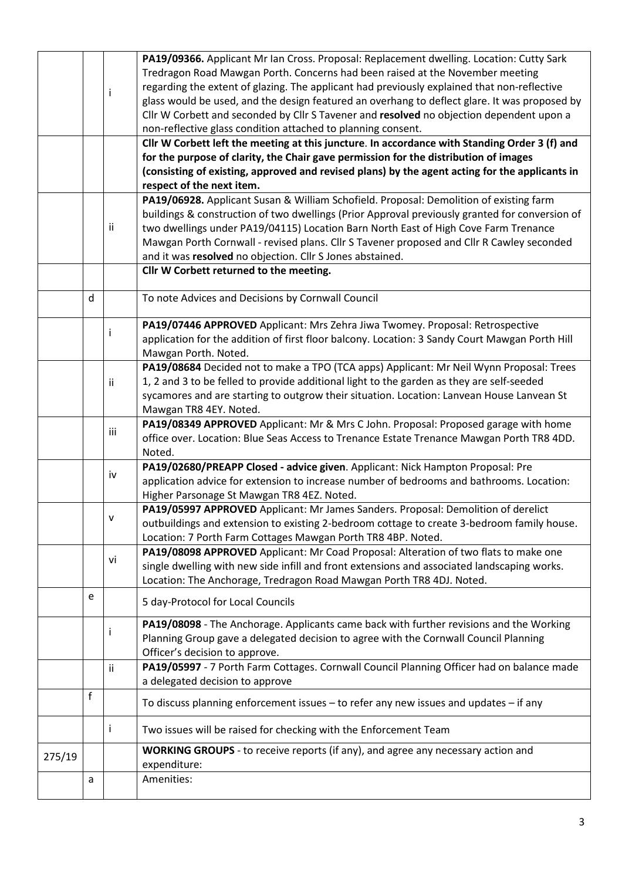|        |   |     | PA19/09366. Applicant Mr Ian Cross. Proposal: Replacement dwelling. Location: Cutty Sark       |  |  |  |
|--------|---|-----|------------------------------------------------------------------------------------------------|--|--|--|
|        |   |     | Tredragon Road Mawgan Porth. Concerns had been raised at the November meeting                  |  |  |  |
|        |   |     | regarding the extent of glazing. The applicant had previously explained that non-reflective    |  |  |  |
|        |   | Ť   | glass would be used, and the design featured an overhang to deflect glare. It was proposed by  |  |  |  |
|        |   |     | Cllr W Corbett and seconded by Cllr S Tavener and resolved no objection dependent upon a       |  |  |  |
|        |   |     | non-reflective glass condition attached to planning consent.                                   |  |  |  |
|        |   |     | Cllr W Corbett left the meeting at this juncture. In accordance with Standing Order 3 (f) and  |  |  |  |
|        |   |     | for the purpose of clarity, the Chair gave permission for the distribution of images           |  |  |  |
|        |   |     | (consisting of existing, approved and revised plans) by the agent acting for the applicants in |  |  |  |
|        |   |     | respect of the next item.                                                                      |  |  |  |
|        |   |     | PA19/06928. Applicant Susan & William Schofield. Proposal: Demolition of existing farm         |  |  |  |
|        |   |     | buildings & construction of two dwellings (Prior Approval previously granted for conversion of |  |  |  |
|        |   | ii  | two dwellings under PA19/04115) Location Barn North East of High Cove Farm Trenance            |  |  |  |
|        |   |     |                                                                                                |  |  |  |
|        |   |     | Mawgan Porth Cornwall - revised plans. Cllr S Tavener proposed and Cllr R Cawley seconded      |  |  |  |
|        |   |     | and it was resolved no objection. Cllr S Jones abstained.                                      |  |  |  |
|        |   |     | Cllr W Corbett returned to the meeting.                                                        |  |  |  |
|        | d |     | To note Advices and Decisions by Cornwall Council                                              |  |  |  |
|        |   |     |                                                                                                |  |  |  |
|        |   |     | PA19/07446 APPROVED Applicant: Mrs Zehra Jiwa Twomey. Proposal: Retrospective                  |  |  |  |
|        |   | j.  | application for the addition of first floor balcony. Location: 3 Sandy Court Mawgan Porth Hill |  |  |  |
|        |   |     | Mawgan Porth. Noted.                                                                           |  |  |  |
|        |   |     | PA19/08684 Decided not to make a TPO (TCA apps) Applicant: Mr Neil Wynn Proposal: Trees        |  |  |  |
|        |   | ij. | 1, 2 and 3 to be felled to provide additional light to the garden as they are self-seeded      |  |  |  |
|        |   |     | sycamores and are starting to outgrow their situation. Location: Lanvean House Lanvean St      |  |  |  |
|        |   |     | Mawgan TR8 4EY. Noted.                                                                         |  |  |  |
|        |   |     | PA19/08349 APPROVED Applicant: Mr & Mrs C John. Proposal: Proposed garage with home            |  |  |  |
|        |   | iii | office over. Location: Blue Seas Access to Trenance Estate Trenance Mawgan Porth TR8 4DD.      |  |  |  |
|        |   |     | Noted.                                                                                         |  |  |  |
|        |   |     | PA19/02680/PREAPP Closed - advice given. Applicant: Nick Hampton Proposal: Pre                 |  |  |  |
|        |   | iv  | application advice for extension to increase number of bedrooms and bathrooms. Location:       |  |  |  |
|        |   |     | Higher Parsonage St Mawgan TR8 4EZ. Noted.                                                     |  |  |  |
|        |   |     | PA19/05997 APPROVED Applicant: Mr James Sanders. Proposal: Demolition of derelict              |  |  |  |
|        |   | v   | outbuildings and extension to existing 2-bedroom cottage to create 3-bedroom family house.     |  |  |  |
|        |   |     | Location: 7 Porth Farm Cottages Mawgan Porth TR8 4BP. Noted.                                   |  |  |  |
|        |   |     | PA19/08098 APPROVED Applicant: Mr Coad Proposal: Alteration of two flats to make one           |  |  |  |
|        |   | vi  | single dwelling with new side infill and front extensions and associated landscaping works.    |  |  |  |
|        |   |     | Location: The Anchorage, Tredragon Road Mawgan Porth TR8 4DJ. Noted.                           |  |  |  |
|        |   |     |                                                                                                |  |  |  |
|        | e |     | 5 day-Protocol for Local Councils                                                              |  |  |  |
|        |   |     | PA19/08098 - The Anchorage. Applicants came back with further revisions and the Working        |  |  |  |
|        |   | j.  | Planning Group gave a delegated decision to agree with the Cornwall Council Planning           |  |  |  |
|        |   |     | Officer's decision to approve.                                                                 |  |  |  |
|        |   | ii. | PA19/05997 - 7 Porth Farm Cottages. Cornwall Council Planning Officer had on balance made      |  |  |  |
|        |   |     | a delegated decision to approve                                                                |  |  |  |
|        | f |     |                                                                                                |  |  |  |
|        |   |     | To discuss planning enforcement issues - to refer any new issues and updates - if any          |  |  |  |
|        |   | j.  | Two issues will be raised for checking with the Enforcement Team                               |  |  |  |
|        |   |     | WORKING GROUPS - to receive reports (if any), and agree any necessary action and               |  |  |  |
| 275/19 |   |     | expenditure:                                                                                   |  |  |  |
|        | a |     | Amenities:                                                                                     |  |  |  |
|        |   |     |                                                                                                |  |  |  |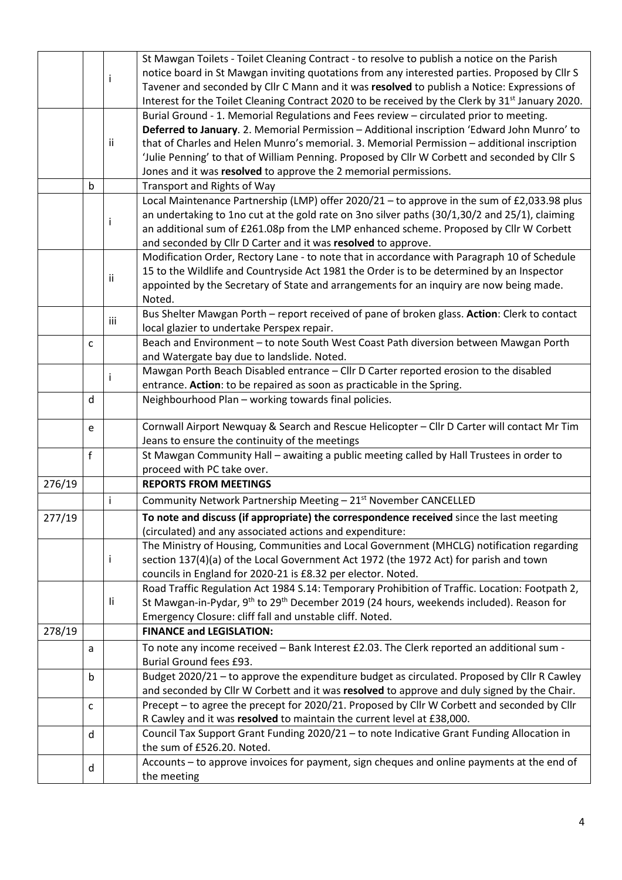|        |   |     | St Mawgan Toilets - Toilet Cleaning Contract - to resolve to publish a notice on the Parish                     |  |  |  |
|--------|---|-----|-----------------------------------------------------------------------------------------------------------------|--|--|--|
|        |   |     | notice board in St Mawgan inviting quotations from any interested parties. Proposed by ClIr S                   |  |  |  |
|        |   | Ť   | Tavener and seconded by Cllr C Mann and it was resolved to publish a Notice: Expressions of                     |  |  |  |
|        |   |     | Interest for the Toilet Cleaning Contract 2020 to be received by the Clerk by 31 <sup>st</sup> January 2020.    |  |  |  |
|        |   |     | Burial Ground - 1. Memorial Regulations and Fees review - circulated prior to meeting.                          |  |  |  |
|        |   |     | Deferred to January. 2. Memorial Permission - Additional inscription 'Edward John Munro' to                     |  |  |  |
|        |   | ij. | that of Charles and Helen Munro's memorial. 3. Memorial Permission - additional inscription                     |  |  |  |
|        |   |     | 'Julie Penning' to that of William Penning. Proposed by Cllr W Corbett and seconded by Cllr S                   |  |  |  |
|        |   |     | Jones and it was resolved to approve the 2 memorial permissions.                                                |  |  |  |
|        | b |     | Transport and Rights of Way                                                                                     |  |  |  |
|        |   |     | Local Maintenance Partnership (LMP) offer 2020/21 - to approve in the sum of £2,033.98 plus                     |  |  |  |
|        |   |     | an undertaking to 1no cut at the gold rate on 3no silver paths (30/1,30/2 and 25/1), claiming                   |  |  |  |
|        | Ť |     | an additional sum of £261.08p from the LMP enhanced scheme. Proposed by Cllr W Corbett                          |  |  |  |
|        |   |     | and seconded by Cllr D Carter and it was resolved to approve.                                                   |  |  |  |
|        |   |     | Modification Order, Rectory Lane - to note that in accordance with Paragraph 10 of Schedule                     |  |  |  |
|        |   |     | 15 to the Wildlife and Countryside Act 1981 the Order is to be determined by an Inspector                       |  |  |  |
|        |   | ii  | appointed by the Secretary of State and arrangements for an inquiry are now being made.                         |  |  |  |
|        |   |     | Noted.                                                                                                          |  |  |  |
|        |   |     | Bus Shelter Mawgan Porth - report received of pane of broken glass. Action: Clerk to contact                    |  |  |  |
|        |   | iii | local glazier to undertake Perspex repair.                                                                      |  |  |  |
|        |   |     | Beach and Environment - to note South West Coast Path diversion between Mawgan Porth                            |  |  |  |
|        | c |     |                                                                                                                 |  |  |  |
|        |   |     | and Watergate bay due to landslide. Noted.                                                                      |  |  |  |
|        |   | i.  | Mawgan Porth Beach Disabled entrance - Cllr D Carter reported erosion to the disabled                           |  |  |  |
|        |   |     | entrance. Action: to be repaired as soon as practicable in the Spring.                                          |  |  |  |
|        | d |     | Neighbourhood Plan - working towards final policies.                                                            |  |  |  |
|        | e |     | Cornwall Airport Newquay & Search and Rescue Helicopter - Cllr D Carter will contact Mr Tim                     |  |  |  |
|        |   |     | Jeans to ensure the continuity of the meetings                                                                  |  |  |  |
|        | f |     | St Mawgan Community Hall - awaiting a public meeting called by Hall Trustees in order to                        |  |  |  |
|        |   |     | proceed with PC take over.                                                                                      |  |  |  |
| 276/19 |   |     | <b>REPORTS FROM MEETINGS</b>                                                                                    |  |  |  |
|        |   | i.  | Community Network Partnership Meeting - 21 <sup>st</sup> November CANCELLED                                     |  |  |  |
|        |   |     |                                                                                                                 |  |  |  |
| 277/19 |   |     | To note and discuss (if appropriate) the correspondence received since the last meeting                         |  |  |  |
|        |   |     | (circulated) and any associated actions and expenditure:                                                        |  |  |  |
|        |   |     | The Ministry of Housing, Communities and Local Government (MHCLG) notification regarding                        |  |  |  |
|        |   | Ť   | section 137(4)(a) of the Local Government Act 1972 (the 1972 Act) for parish and town                           |  |  |  |
|        |   |     | councils in England for 2020-21 is £8.32 per elector. Noted.                                                    |  |  |  |
|        |   |     | Road Traffic Regulation Act 1984 S.14: Temporary Prohibition of Traffic. Location: Footpath 2,                  |  |  |  |
|        |   | li. | St Mawgan-in-Pydar, 9 <sup>th</sup> to 29 <sup>th</sup> December 2019 (24 hours, weekends included). Reason for |  |  |  |
|        |   |     | Emergency Closure: cliff fall and unstable cliff. Noted.                                                        |  |  |  |
| 278/19 |   |     | <b>FINANCE and LEGISLATION:</b>                                                                                 |  |  |  |
|        | a |     | To note any income received - Bank Interest £2.03. The Clerk reported an additional sum -                       |  |  |  |
|        |   |     | Burial Ground fees £93.                                                                                         |  |  |  |
|        | b |     | Budget 2020/21 - to approve the expenditure budget as circulated. Proposed by Cllr R Cawley                     |  |  |  |
|        |   |     | and seconded by Cllr W Corbett and it was resolved to approve and duly signed by the Chair.                     |  |  |  |
|        | C |     | Precept - to agree the precept for 2020/21. Proposed by Cllr W Corbett and seconded by Cllr                     |  |  |  |
|        |   |     | R Cawley and it was resolved to maintain the current level at £38,000.                                          |  |  |  |
|        | d |     | Council Tax Support Grant Funding 2020/21 - to note Indicative Grant Funding Allocation in                      |  |  |  |
|        |   |     | the sum of £526.20. Noted.                                                                                      |  |  |  |
|        |   |     | Accounts - to approve invoices for payment, sign cheques and online payments at the end of                      |  |  |  |
|        | d |     |                                                                                                                 |  |  |  |